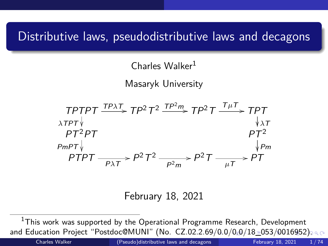## <span id="page-0-0"></span>Distributive laws, pseudodistributive laws and decagons

Charles Walker<sup>1</sup>

Masaryk University



February 18, 2021

Charles Walker [\(Pseudo\)distributive laws and decagons](#page-73-0) February 18, 2021 1 / 74

 $^1$ This work was supported by the Operational Programme Research, Development and Education Project "Postdoc@MUNI" (No. CZ.02.2.6[9/](#page-0-0)0[.0](#page-1-0)[/0.0](#page-0-0)[/1](#page-1-0)[8\\_](#page-0-0)[0](#page-2-0)[5](#page-2-0)[3/](#page-0-0)00[169](#page-0-0)[52\)](#page-73-0).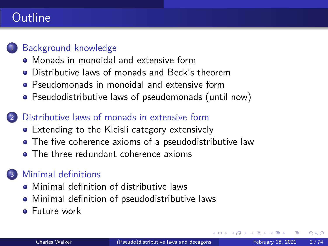# <span id="page-1-0"></span>Outline

### [Background knowledge](#page-2-0)

- [Monads in monoidal and extensive form](#page-2-0)
- **[Distributive laws of monads and Beck's theorem](#page-6-0)**
- **•** [Pseudomonads in monoidal and extensive form](#page-11-0)
- [Pseudodistributive laws of pseudomonads \(until now\)](#page-19-0)

#### [Distributive laws of monads in extensive form](#page-23-0)

- [Extending to the Kleisli category extensively](#page-23-0)
- [The five coherence axioms of a pseudodistributive law](#page-30-0)
- **[The three redundant coherence axioms](#page-48-0)**

### [Minimal definitions](#page-51-0)

- **•** [Minimal definition of distributive laws](#page-51-0)
- [Minimal definition of pseudodistributive laws](#page-59-0)
- **•** [Future work](#page-69-0)

 $\Omega$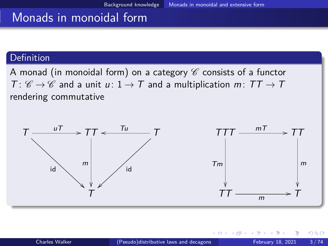## <span id="page-2-0"></span>Monads in monoidal form

#### Definition

A monad (in monoidal form) on a category  $\mathscr C$  consists of a functor  $T: \mathscr{C} \to \mathscr{C}$  and a unit  $u: 1 \to T$  and a multiplication  $m: TT \to T$ rendering commutative

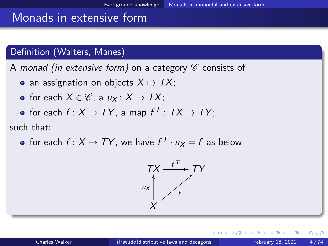## Monads in extensive form

#### Definition (Walters, Manes)

A monad (in extensive form) on a category  $\mathscr C$  consists of

- an assignation on objects  $X \mapsto TX$ ;
- for each  $X \in \mathscr{C}$ , a  $u_X : X \to TX$ ;
- for each  $f\colon X\to TY,$  a map  $f^{\mathcal T}\colon\thinspace TX\to TY;$

such that:

for each  $f\colon X\to TY$ , we have  $f^\mathcal{T}\cdot u_X=f$  as below



 $\Omega$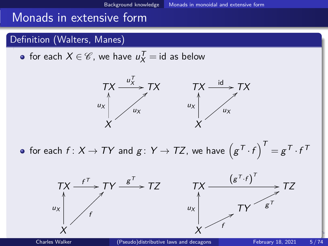## Monads in extensive form

#### Definition (Walters, Manes)

for each  $X \in \mathscr{C}$ , we have  $\mathscr{u}_X^{\mathcal{T}} = \mathsf{id}$  as below



for each  $f\colon X\to TY$  and  $g\colon Y\to TZ$ , we have  $\left(g^{\mathcal T}\cdot f\right)^{\mathcal T}=g^{\mathcal T}\cdot f^{\mathcal T}$ 

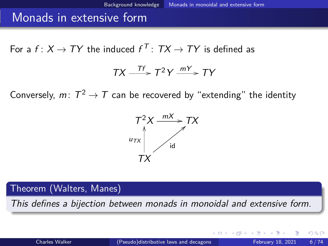### <span id="page-5-0"></span>Monads in extensive form

For a  $f\colon X\to TY$  the induced  $f^{\mathcal T}\colon TX\to TY$  is defined as

$$
TX \xrightarrow{\mathsf{T}f} T^2Y \xrightarrow{mY} TY
$$

Conversely,  $m\colon\thinspace T^2\to\mathcal T$  can be recovered by "extending" the identity



Theorem (Walters, Manes)

This defines a bijection between monads in monoidal and extensive form.

 $\Omega$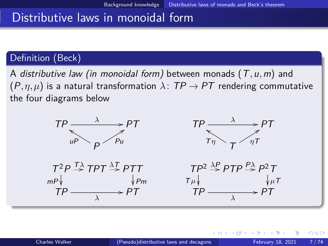## <span id="page-6-0"></span>Distributive laws in monoidal form

#### Definition (Beck)

A distributive law (in monoidal form) between monads (T*,*u*,*m) and  $(P, \eta, \mu)$  is a natural transformation  $\lambda$ :  $TP \rightarrow PT$  rendering commutative the four diagrams below



 $200$ 

イロト イ押ト イヨト イヨトー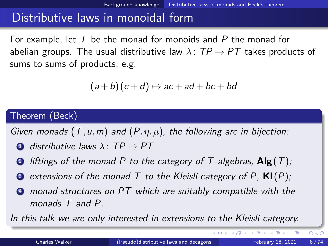## Distributive laws in monoidal form

For example, let  $T$  be the monad for monoids and  $P$  the monad for abelian groups. The usual distributive law  $\lambda$ :  $TP \rightarrow PT$  takes products of sums to sums of products, e.g.

$$
(a+b)(c+d) \mapsto ac+ad+bc+bd
$$

#### Theorem (Beck)

Given monads (T*,*u*,*m) and (P*,η,µ*), the following are in bijection:

- **4** distributive laws  $\lambda$ : TP  $\rightarrow$  PT
- <sup>2</sup> liftings of the monad P to the category of T -algebras, **Alg**(T);
- extensions of the monad  $T$  to the Kleisli category of  $P$ ,  $\mathsf{KI}(P)$ ;
- **4** monad structures on PT which are suitably compatible with the monads T and P.

In this talk we are only interested in extensions to the Kleisli category.

 $QQ$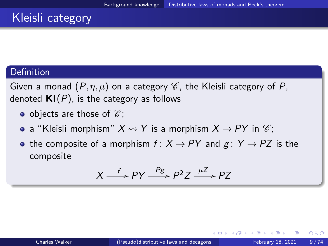# Kleisli category

#### **Definition**

Given a monad  $(P, \eta, \mu)$  on a category  $\mathscr C$ , the Kleisli category of P. denoted  $\mathsf{KI}(P)$ , is the category as follows

- objects are those of  $\mathscr{C}$ :
- a "Kleisli morphism"  $X \rightsquigarrow Y$  is a morphism  $X \rightarrow PY$  in  $\mathscr{C}$ ;
- the composite of a morphism  $f: X \rightarrow PY$  and  $g: Y \rightarrow PZ$  is the composite

$$
X \xrightarrow{f} PY \xrightarrow{Pg} P^2 Z \xrightarrow{\mu Z} PZ
$$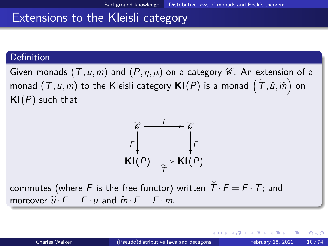### Extensions to the Kleisli category

#### Definition

Given monads  $(T, u, m)$  and  $(P, \eta, \mu)$  on a category  $\mathscr C$ . An extension of a monad  $(T, u, m)$  to the Kleisli category  $\mathsf{Kl}(P)$  is a monad  $\left(\widetilde{\mathcal{T}}, \widetilde{u}, \widetilde{m}\right)$  on **Kl**(P) such that



commutes (where F is the free functor) written  $\widetilde{T} \cdot F = F \cdot T$ ; and moreover  $\tilde{u} \cdot F = F \cdot u$  and  $\tilde{m} \cdot F = F \cdot m$ .

 $QQ$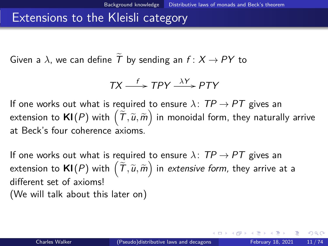### Extensions to the Kleisli category

Given a  $\lambda$ , we can define T by sending an  $f : X \rightarrow PY$  to

$$
TX \xrightarrow{f} TPY \xrightarrow{\lambda Y} PTY
$$

If one works out what is required to ensure  $\lambda$ :  $TP \rightarrow PT$  gives an extension to  $\mathsf{KI}(P)$  with  $\left(\widetilde{\mathcal{T}},\widetilde{u},\widetilde{m}\right)$  in monoidal form, they naturally arrive at Beck's four coherence axioms.

If one works out what is required to ensure  $\lambda$ :  $TP \rightarrow PT$  gives an extension to  $\mathsf{Kl}(P)$  with  $\left(\widetilde{\mathcal{T}},\widetilde{u},\widetilde{m}\right)$  in *extensive form,* they arrive at a different set of axioms! (We will talk about this later on)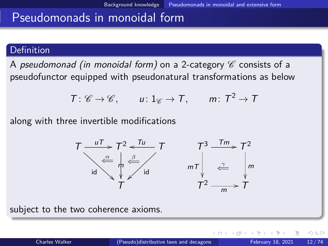#### <span id="page-11-0"></span>Definition

A pseudomonad (in monoidal form) on a 2-category  $\mathscr C$  consists of a pseudofunctor equipped with pseudonatural transformations as below

$$
T: \mathscr{C} \to \mathscr{C}, \qquad u: 1_{\mathscr{C}} \to T, \qquad m: T^2 \to T
$$

along with three invertible modifications



subject to the two coherence axioms.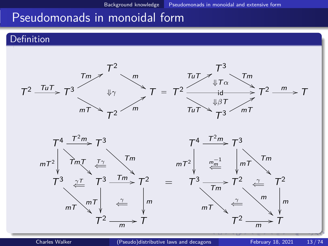#### Definition

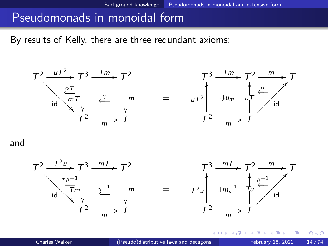By results of Kelly, there are three redundant axioms:



and



K ㅁ ▶ K @ ▶ K 로 ▶ K 로 ▶ \_ 로 \_ K) Q Q @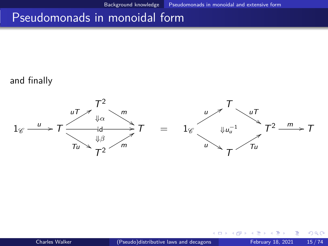#### and finally



€⊡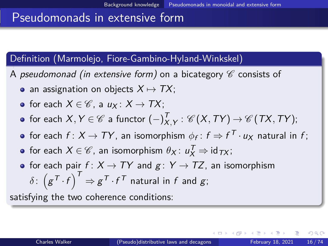#### Definition (Marmolejo, Fiore-Gambino-Hyland-Winkskel)

- A pseudomonad (in extensive form) on a bicategory  $\mathscr C$  consists of
	- an assignation on objects  $X \mapsto TX$ ;

• for each 
$$
X \in \mathcal{C}
$$
, a  $u_X : X \to TX$ ;

- for each  $X,Y\in \mathscr{C}$  a functor  $(-)^{\textstyle \mathcal{T}}_X$  $X_{X,Y}' : \mathscr{C}\left(X,TY\right) \rightarrow \mathscr{C}\left(TX,TY\right);$
- for each  $f\colon X\to TY$ , an isomorphism  $\phi_f\colon f\Rightarrow f^{\mathcal T}\cdot \mathsf u_X$  natural in  $f;$
- for each  $X \in \mathscr{C}$ , an isomorphism  $\theta_X \colon u^{\mathcal{T}}_X \Rightarrow \text{id}_{\mathcal{TX}}$ ;
- for each pair  $f: X \to TY$  and  $g: Y \to TZ$ , an isomorphism  $\delta \colon \left( \mathcal{g}^{\mathcal{T}} \cdot f \right)^{\mathcal{T}} \Rightarrow \mathcal{g}^{\mathcal{T}} \cdot f^{\mathcal{T}}$  natural in  $f$  and  $\mathcal{g};$

satisfying the two coherence conditions: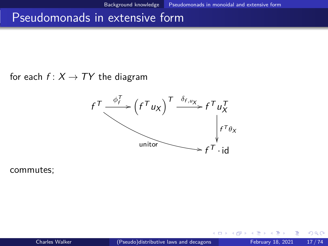for each  $f: X \rightarrow TY$  the diagram



commutes;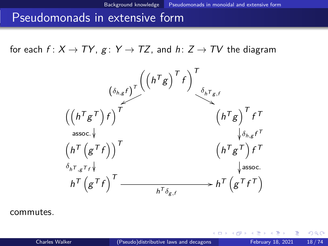for each  $f: X \to TY$ ,  $g: Y \to TZ$ , and  $h: Z \to TV$  the diagram



commutes.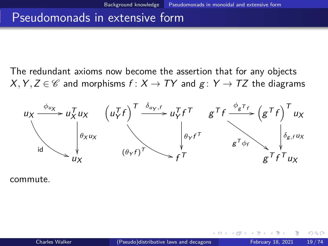<span id="page-18-0"></span>The redundant axioms now become the assertion that for any objects  $X, Y, Z \in \mathscr{C}$  and morphisms  $f: X \to TY$  and  $g: Y \to TZ$  the diagrams



commute.

 $\Omega$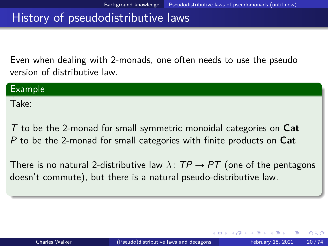## <span id="page-19-0"></span>History of pseudodistributive laws

Even when dealing with 2-monads, one often needs to use the pseudo version of distributive law.

| Example |  |  |
|---------|--|--|
| Take:   |  |  |
|         |  |  |

T to be the 2-monad for small symmetric monoidal categories on **Cat** P to be the 2-monad for small categories with finite products on **Cat**

There is no natural 2-distributive law  $\lambda:TP\rightarrow PT$  (one of the pentagons doesn't commute), but there is a natural pseudo-distributive law.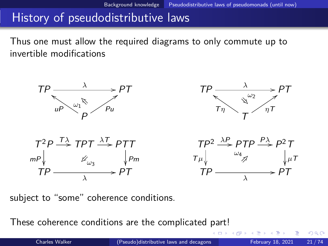# History of pseudodistributive laws

Thus one must allow the required diagrams to only commute up to invertible modifications



subject to "some" coherence conditions.

These coherence conditions are the complicated part!

 $QQQ$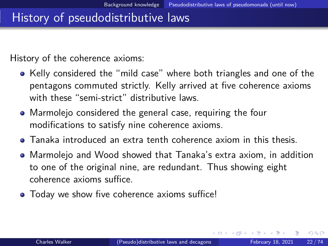## History of pseudodistributive laws

History of the coherence axioms:

- Kelly considered the "mild case" where both triangles and one of the pentagons commuted strictly. Kelly arrived at five coherence axioms with these "semi-strict" distributive laws.
- Marmolejo considered the general case, requiring the four modifications to satisfy nine coherence axioms.
- Tanaka introduced an extra tenth coherence axiom in this thesis.
- Marmolejo and Wood showed that Tanaka's extra axiom, in addition to one of the original nine, are redundant. Thus showing eight coherence axioms suffice.
- Today we show five coherence axioms suffice!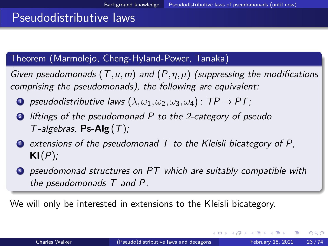## <span id="page-22-0"></span>Pseudodistributive laws

#### Theorem (Marmolejo, Cheng-Hyland-Power, Tanaka)

Given pseudomonads (T*,*u*,*m) and (P*,η,µ*) (suppressing the modifications comprising the pseudomonads), the following are equivalent:

- **1** pseudodistributive laws  $(\lambda, \omega_1, \omega_2, \omega_3, \omega_4)$  : TP  $\rightarrow$  PT;
- **2** liftings of the pseudomonad P to the 2-category of pseudo T -algebras, **Ps**-**Alg**(T);
- $\bullet$  extensions of the pseudomonad T to the Kleisli bicategory of P, **Kl**(P);
- **4** pseudomonad structures on PT which are suitably compatible with the pseudomonads T and P.

We will only be interested in extensions to the Kleisli bicategory.

 $\Omega$ 

 $\mathcal{A} \left( \overline{\mathbf{H}} \right) \rightarrow \mathcal{A} \left( \overline{\mathbf{H}} \right) \rightarrow \mathcal{A} \left( \overline{\mathbf{H}} \right)$ 

4 **E** F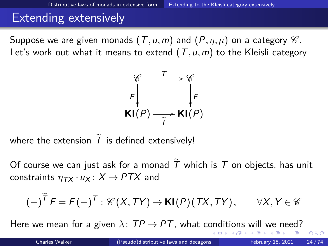<span id="page-23-0"></span>Suppose we are given monads  $(T, u, m)$  and  $(P, \eta, \mu)$  on a category  $\mathscr C$ . Let's work out what it means to extend  $(T, u, m)$  to the Kleisli category



where the extension  $\overline{T}$  is defined extensively!

Of course we can just ask for a monad  $\overline{T}$  which is  $\overline{T}$  on objects, has unit constraints  $\eta_{TX} \cdot u_X : X \rightarrow PTX$  and

$$
(-)^{\widetilde{\mathsf{T}}} F = \mathsf{F}(-)^{\mathsf{T}} : \mathscr{C}(X, \mathsf{TY}) \to \mathsf{Kl}(\mathsf{P})(\mathsf{TX}, \mathsf{TY}), \qquad \forall X, Y \in \mathscr{C}
$$

Here[w](#page-22-0)[e](#page-51-0) mean for a given  $\lambda:TP\to PT$  $\lambda:TP\to PT$  $\lambda:TP\to PT$ , what c[on](#page-22-0)[dit](#page-24-0)[io](#page-22-0)[ns](#page-23-0) w[il](#page-23-0)l we [n](#page-50-0)e[ed](#page-0-0)[?](#page-73-0)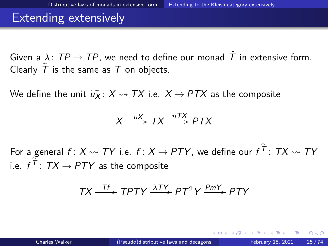<span id="page-24-0"></span>Given a  $\lambda$ :  $TP \rightarrow TP$ , we need to define our monad T in extensive form. Clearly  $\widetilde{T}$  is the same as T on objects.

We define the unit  $\widetilde{u}_X : X \rightsquigarrow TX$  i.e.  $X \rightarrow PTX$  as the composite

$$
X \xrightarrow{uX} TX \xrightarrow{\eta TX} PTX
$$

For a general  $f\colon X\rightsquigarrow TY$  i.e.  $f\colon X\to PTY$ , we define our  $f^{\mathcal T}\colon TX\rightsquigarrow TY$ i.e.  $f^{\mathcal{T}}$ :  $TX \rightarrow PTY$  as the composite

$$
TX \xrightarrow{\mathit{TF}} \mathit{TPTY} \xrightarrow{\lambda\mathit{TY}} \mathit{PT}^2Y \xrightarrow{\mathit{PmY}} \mathit{PTY}
$$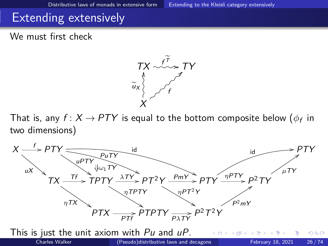We must first check



That is, any  $f\colon X \,{\to}\, P \mathcal{T} Y$  is equal to the bottom composite below  $(\phi_f$  in two dimensions)

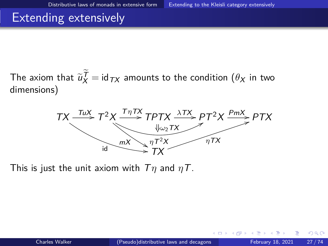<span id="page-26-0"></span>The axiom that  $\widetilde{u}_{X}^{T} = \operatorname{id}_{TX}$  amounts to the condition  $(\theta_{X}$  in two dimensions) dimensions)



This is just the unit axiom with T*η* and *η*T.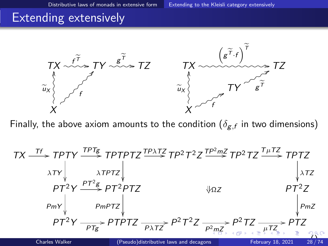

Finally, the above axiom amounts to the condition  $(\delta_{\mathcal{g},f}$  in two dimensions)

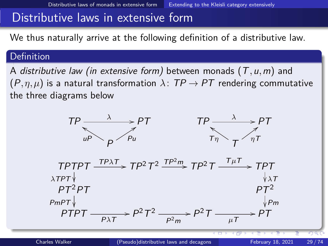### <span id="page-28-0"></span>Distributive laws in extensive form

We thus naturally arrive at the following definition of a distributive law.

#### Definition

A distributive law (in extensive form) between monads (T*,*u*,*m) and  $(P, \eta, \mu)$  is a natural transformation  $\lambda$ :  $TP \rightarrow PT$  rendering commutative the three diagrams below

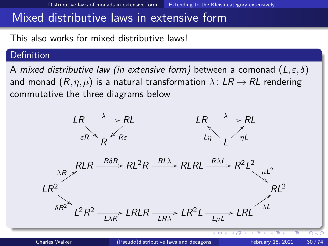### <span id="page-29-0"></span>Mixed distributive laws in extensive form

This also works for mixed distributive laws!

#### **Definition**

A mixed distributive law (in extensive form) between a comonad (L*,ε, δ*) and monad  $(R, \eta, \mu)$  is a natural transformation  $\lambda: LR \rightarrow RL$  rendering commutative the three diagrams below

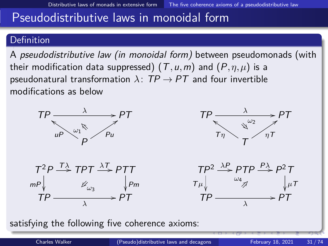#### <span id="page-30-0"></span>Definition

A pseudodistributive law (in monoidal form) between pseudomonads (with their modification data suppressed) (T*,*u*,*m) and (P*,η,µ*) is a pseudonatural transformation  $\lambda$ :  $TP \rightarrow PT$  and four invertible modifications as below



satisfying the following five coherence axioms: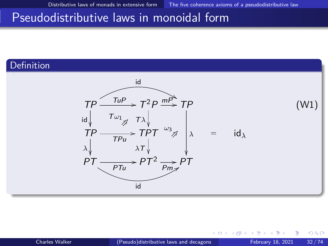#### **Definition**



←□

 $QQ$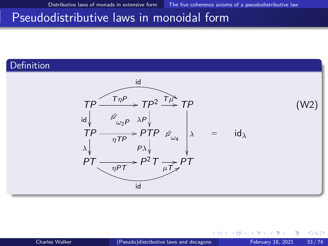#### Definition



←□

 $QQ$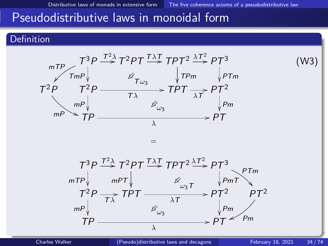#### Definition

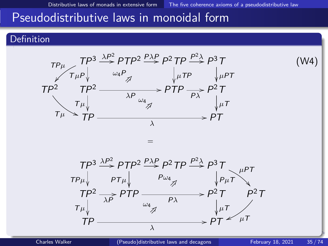#### **Definition**

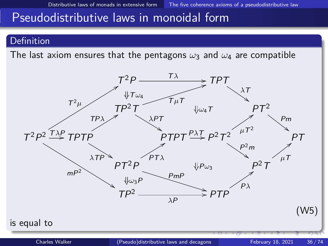#### **Definition**

The last axiom ensures that the pentagons  $\omega_3$  and  $\omega_4$  are compatible

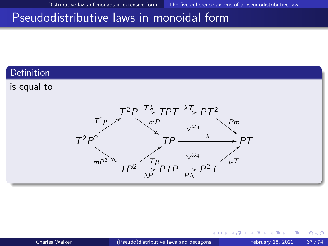## Pseudodistributive laws in monoidal form

## Definition

is equal to

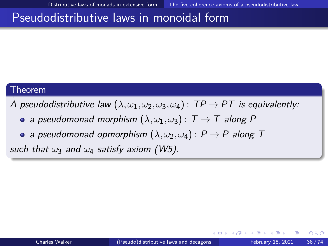## Pseudodistributive laws in monoidal form

### Theorem

A pseudodistributive law  $(\lambda, \omega_1, \omega_2, \omega_3, \omega_4)$  :  $TP \rightarrow PT$  is equivalently:

- a pseudomonad morphism  $(\lambda, \omega_1, \omega_3)$ :  $T \to T$  along P
- a pseudomonad opmorphism  $(\lambda, \omega_2, \omega_4) : P \to P$  along T

such that  $\omega_3$  and  $\omega_4$  satisfy axiom (W5).

 $\Omega$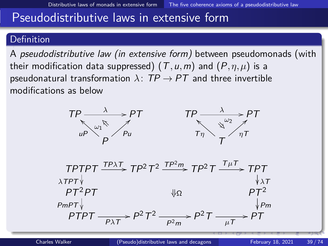## **Definition**

A pseudodistributive law (in extensive form) between pseudomonads (with their modification data suppressed)  $(T, u, m)$  and  $(P, \eta, \mu)$  is a pseudonatural transformation  $\lambda$ :  $TP \rightarrow PT$  and three invertible modifications as below



 $TPTPT \xrightarrow{TP\lambda T} TP^2T^2 \xrightarrow{TP^2m} TP^2T \xrightarrow{T\mu T} TPT$ *<sup>λ</sup>*TPT  $\Downarrow$ Ω *λ*<sup>T</sup>  $PT^2PT$ <br>PmPT $\downarrow$  $\begin{array}{c} \textit{PmPT}\Downarrow \ \textit{PTPT} \longrightarrow \textit{P}^2\ \textit{T}^2 \longrightarrow \textit{P}^2\ \textit{P}^2 \longrightarrow \textit{P}^2\ \textit{T} \longrightarrow \textit{PT} \longrightarrow \textit{PT} \end{array}$  $\bigcup_{k=1}^{n} P_m$  $\frac{P^2 m}{P^2 m}$  P<sup>2</sup>T  $\frac{1}{\mu T}$  PT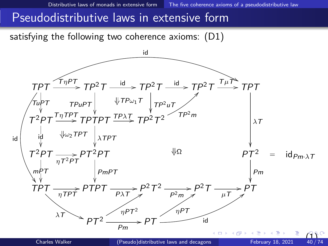satisfying the following two coherence axioms: (D1)

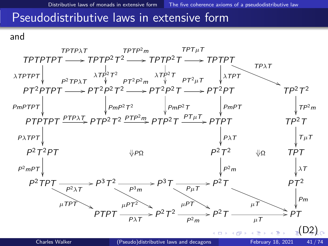and

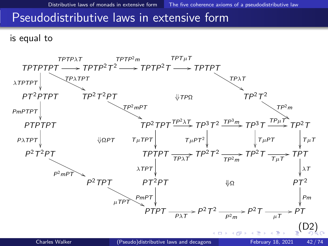is equal to

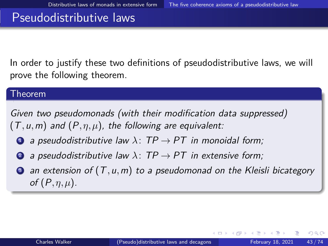In order to justify these two definitions of pseudodistributive laws, we will prove the following theorem.

#### Theorem

Given two pseudomonads (with their modification data suppressed)  $(T, u, m)$  and  $(P, \eta, \mu)$ , the following are equivalent:

- **1** a pseudodistributive law  $\lambda$ : TP  $\rightarrow$  PT in monoidal form;
- **2** a pseudodistributive law  $\lambda$ : TP  $\rightarrow$  PT in extensive form;
- <sup>3</sup> an extension of (T*,*u*,*m) to a pseudomonad on the Kleisli bicategory of (P*,η,µ*).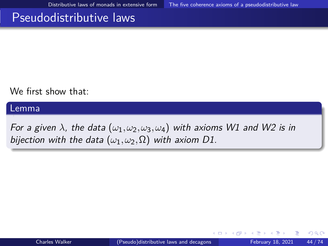We first show that:

Lemma

For a given  $\lambda$ , the data  $(\omega_1, \omega_2, \omega_3, \omega_4)$  with axioms W1 and W2 is in bijection with the data  $(\omega_1, \omega_2, \Omega)$  with axiom D1.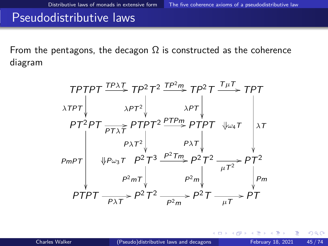From the pentagons, the decagon  $\Omega$  is constructed as the coherence diagram

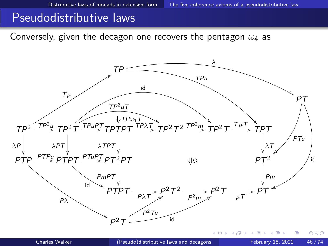Conversely, given the decagon one recovers the pentagon *ω*<sup>4</sup> as

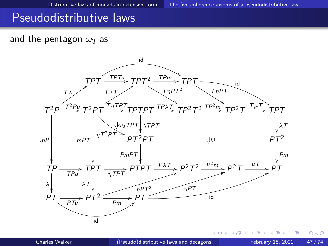### and the pentagon *ω*<sup>3</sup> as

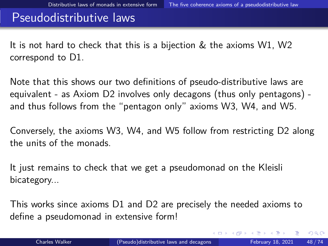It is not hard to check that this is a bijection & the axioms W1, W2 correspond to D1.

Note that this shows our two definitions of pseudo-distributive laws are equivalent - as Axiom D2 involves only decagons (thus only pentagons) and thus follows from the "pentagon only" axioms W3, W4, and W5.

Conversely, the axioms W3, W4, and W5 follow from restricting D2 along the units of the monads.

It just remains to check that we get a pseudomonad on the Kleisli bicategory...

This works since axioms D1 and D2 are precisely the needed axioms to define a pseudomonad in extensive form!

 $\Omega$ 

 $\left\{ \left. \left( \left. \left| \Phi \right| \right| \right. \right. \left. \left. \left. \left. \left. \left| \Phi \right| \right. \right. \right. \right. \left. \left. \left| \Phi \right| \right. \right. \right. \left. \left. \left. \left| \Phi \right| \right. \right. \right. \left. \left. \left| \Phi \right| \right. \right. \left. \left. \left| \Phi \right| \right. \right. \left. \left. \left| \Phi \right| \right. \right. \left. \left. \left| \Phi \right| \right. \right. \left. \left. \left| \Phi \right| \right. \right. \left. \left.$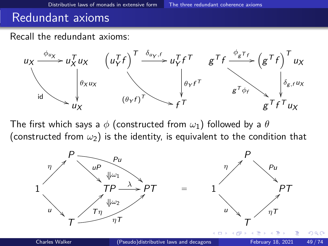## <span id="page-48-0"></span>Redundant axioms

Recall the redundant axioms:



The first which says a *φ* (constructed from *ω*1) followed by a *θ* (constructed from *ω*2) is the identity, is equivalent to the condition that

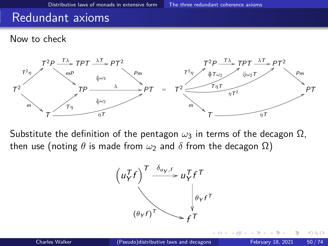## Redundant axioms

#### Now to check



Substitute the definition of the pentagon  $ω_3$  in terms of the decagon  $Ω$ , then use (noting  $θ$  is made from  $ω_2$  and  $δ$  from the decagon  $Ω$ )

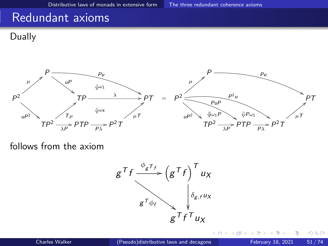## Redundant axioms

Dually



follows from the axiom

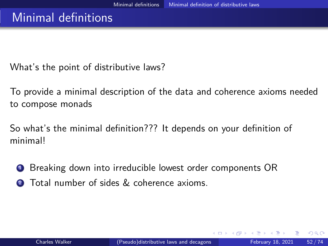<span id="page-51-0"></span>What's the point of distributive laws?

To provide a minimal description of the data and coherence axioms needed to compose monads

So what's the minimal definition??? It depends on your definition of minimal!

<sup>1</sup> Breaking down into irreducible lowest order components OR Total number of sides & coherence axioms.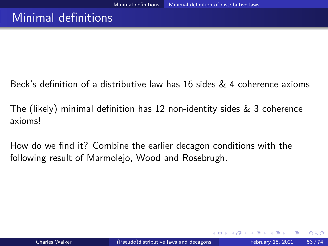Beck's definition of a distributive law has 16 sides & 4 coherence axioms

The (likely) minimal definition has 12 non-identity sides  $\&$  3 coherence axioms!

How do we find it? Combine the earlier decagon conditions with the following result of Marmolejo, Wood and Rosebrugh.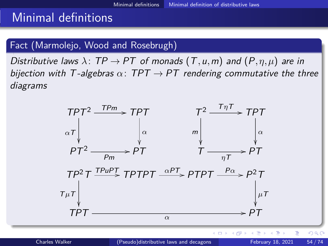## <span id="page-53-0"></span>Fact (Marmolejo, Wood and Rosebrugh)

Distributive laws  $\lambda$ : TP  $\rightarrow$  PT of monads  $(T, u, m)$  and  $(P, \eta, \mu)$  are in bijection with T-algebras  $\alpha$ : TPT  $\rightarrow$  PT rendering commutative the three diagrams

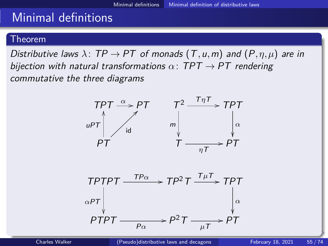### Theorem

Distributive laws  $\lambda$ :  $TP \rightarrow PT$  of monads  $(T, u, m)$  and  $(P, \eta, \mu)$  are in bijection with natural transformations  $\alpha$ : TPT  $\rightarrow$  PT rendering commutative the three diagrams



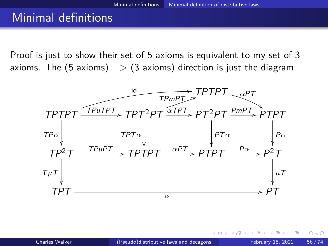Proof is just to show their set of 5 axioms is equivalent to my set of 3 axioms. The (5 axioms)  $\Rightarrow$  (3 axioms) direction is just the diagram

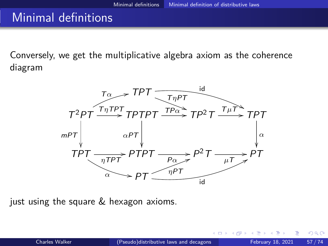Conversely, we get the multiplicative algebra axiom as the coherence diagram



just using the square & hexagon axioms.

つひひ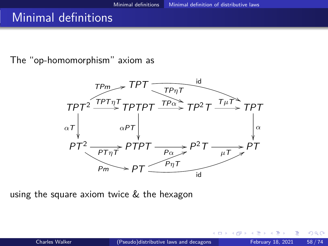The "op-homomorphism" axiom as



using the square axiom twice & the hexagon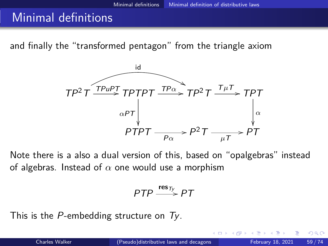and finally the "transformed pentagon" from the triangle axiom



Note there is a also a dual version of this, based on "opalgebras" instead of algebras. Instead of *α* one would use a morphism

$$
PTP \xrightarrow{\text{res}_{T_y}} PT
$$

This is the P-embedding structure on  $Ty$ .

つへへ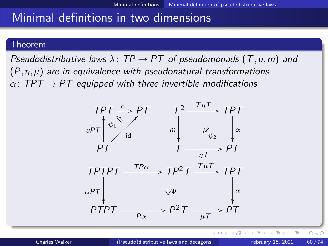### <span id="page-59-0"></span>Theorem

Pseudodistributive laws *λ*: TP → PT of pseudomonads (T*,*u*,*m) and  $(P, \eta, \mu)$  are in equivalence with pseudonatural transformations  $\alpha$ : TPT  $\rightarrow$  PT equipped with three invertible modifications



 $QQ$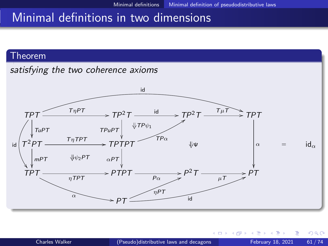### Theorem

satisfying the two coherence axioms



€⊡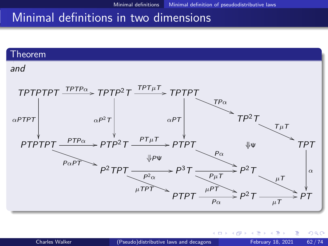#### Theorem

#### and



 $\leftarrow$   $\Box$ 

目

 $QQ$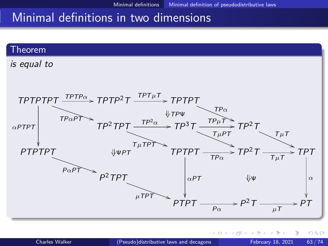#### <span id="page-62-0"></span>Theorem

is equal to



 $\leftarrow$   $\Box$ 

 $QQQ$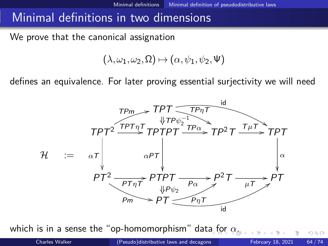<span id="page-63-0"></span>We prove that the canonical assignation

$$
(\lambda,\omega_1,\omega_2,\Omega)\mapsto(\alpha,\psi_1,\psi_2,\Psi)
$$

defines an equivalence. For later proving essential surjectivity we will need



which is in a sense the "op-homomorphism" dat[a f](#page-62-0)[or](#page-64-0) *[α](#page-62-0)*[.](#page-63-0)

 $\Omega$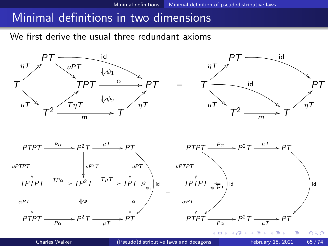<span id="page-64-0"></span>We first derive the usual three redundant axioms



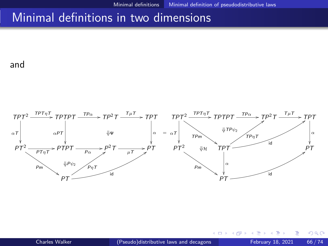and

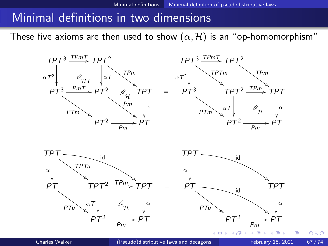These five axioms are then used to show  $(\alpha, \mathcal{H})$  is an "op-homomorphism"





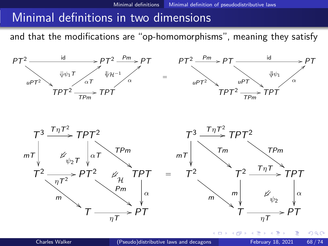and that the modifications are "op-homomorphisms", meaning they satisfy



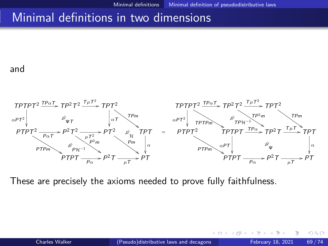and



These are precisely the axioms needed to prove fully faithfulness.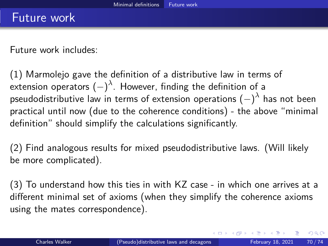<span id="page-69-0"></span>Future work includes:

(1) Marmolejo gave the definition of a distributive law in terms of extension operators  $(-)^{\lambda}$ . However, finding the definition of a pseudodistributive law in terms of extension operations (−) *λ* has not been practical until now (due to the coherence conditions) - the above "minimal definition" should simplify the calculations significantly.

(2) Find analogous results for mixed pseudodistributive laws. (Will likely be more complicated).

(3) To understand how this ties in with KZ case - in which one arrives at a different minimal set of axioms (when they simplify the coherence axioms using the mates correspondence).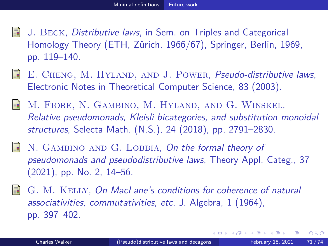- J. Beck, Distributive laws, in Sem. on Triples and Categorical Homology Theory (ETH, Zürich, 1966/67), Springer, Berlin, 1969, pp. 119–140.
- F E. CHENG, M. HYLAND, AND J. POWER, Pseudo-distributive laws, Electronic Notes in Theoretical Computer Science, 83 (2003).
- M. Fiore, N. Gambino, M. Hyland, and G. Winskel, Relative pseudomonads, Kleisli bicategories, and substitution monoidal structures, Selecta Math. (N.S.), 24 (2018), pp. 2791–2830.
- N. GAMBINO AND G. LOBBIA, On the formal theory of pseudomonads and pseudodistributive laws, Theory Appl. Categ., 37 (2021), pp. No. 2, 14–56.
- G. M. Kelly, On MacLane's conditions for coherence of natural associativities, commutativities, etc, J. Algebra, 1 (1964), pp. 397–402.

 $\Omega$ 

The South Tel

4 **E** F

4 何 ▶ - 4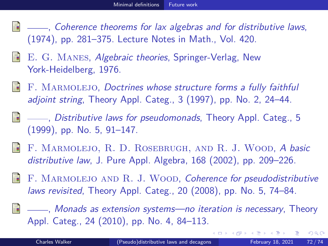- , Coherence theorems for lax algebras and for distributive laws, (1974), pp. 281–375. Lecture Notes in Math., Vol. 420.
- E. G. Manes, Algebraic theories, Springer-Verlag, New York-Heidelberg, 1976.
- F. MARMOLEJO, Doctrines whose structure forms a fully faithful adjoint string, Theory Appl. Categ., 3 (1997), pp. No. 2, 24–44.
- , Distributive laws for pseudomonads, Theory Appl. Categ., 5 (1999), pp. No. 5, 91–147.
- F. MARMOLEJO, R. D. ROSEBRUGH, AND R. J. WOOD, A basic distributive law, J. Pure Appl. Algebra, 168 (2002), pp. 209–226.
- F. Marmolejo and R. J. Wood, Coherence for pseudodistributive laws revisited, Theory Appl. Categ., 20 (2008), pp. No. 5, 74–84.

, Monads as extension systems—no iteration is necessary, Theory Appl. Categ., 24 (2010), pp. No. 4, 84–113.

 $\Omega$ 

( ロ ) ( *同* ) ( ヨ ) ( ヨ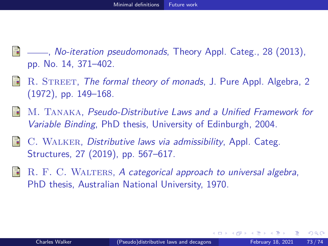- , No-iteration pseudomonads, Theory Appl. Categ., 28 (2013), pp. No. 14, 371–402.
- F R. STREET, The formal theory of monads, J. Pure Appl. Algebra, 2 (1972), pp. 149–168.
- M. Tanaka, Pseudo-Distributive Laws and a Unified Framework for Variable Binding, PhD thesis, University of Edinburgh, 2004.
- 靠 C. WALKER, Distributive laws via admissibility, Appl. Categ. Structures, 27 (2019), pp. 567–617.
- R. F. C. WALTERS, A categorical approach to universal algebra, PhD thesis, Australian National University, 1970.

 $QQ$